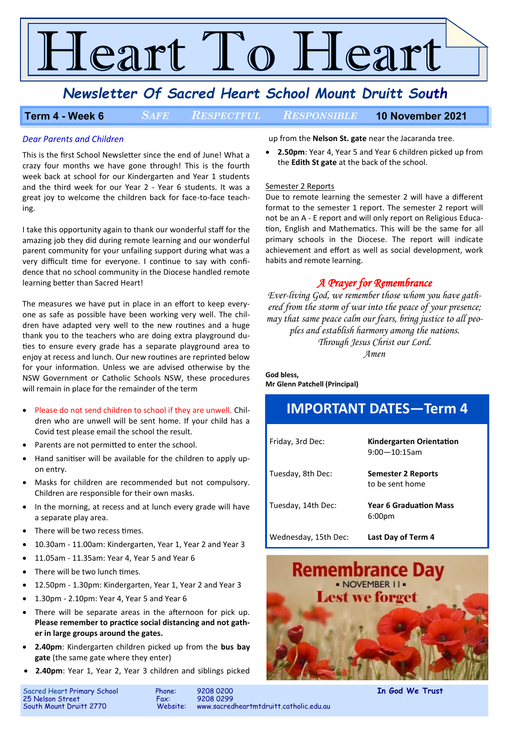# Teart To Heart

### *Newsletter Of Sacred Heart School Mount Druitt South*

#### **Term 4 - Week 6** *SAFE RESPECTFUL RESPONSIBLE* **10 November 2021**

#### *Dear Parents and Children*

This is the first School Newsletter since the end of June! What a crazy four months we have gone through! This is the fourth week back at school for our Kindergarten and Year 1 students and the third week for our Year 2 - Year 6 students. It was a great joy to welcome the children back for face-to-face teaching.

I take this opportunity again to thank our wonderful staff for the amazing job they did during remote learning and our wonderful parent community for your unfailing support during what was a very difficult time for everyone. I continue to say with confidence that no school community in the Diocese handled remote learning better than Sacred Heart!

The measures we have put in place in an effort to keep everyone as safe as possible have been working very well. The children have adapted very well to the new routines and a huge thank you to the teachers who are doing extra playground duties to ensure every grade has a separate playground area to enjoy at recess and lunch. Our new routines are reprinted below for your information. Unless we are advised otherwise by the NSW Government or Catholic Schools NSW, these procedures will remain in place for the remainder of the term

- Please do not send children to school if they are unwell. Children who are unwell will be sent home. If your child has a Covid test please email the school the result.
- Parents are not permitted to enter the school.
- Hand sanitiser will be available for the children to apply upon entry.
- Masks for children are recommended but not compulsory. Children are responsible for their own masks.
- In the morning, at recess and at lunch every grade will have a separate play area.
- There will be two recess times.
- 10.30am 11.00am: Kindergarten, Year 1, Year 2 and Year 3
- 11.05am 11.35am: Year 4, Year 5 and Year 6
- There will be two lunch times.
- 12.50pm 1.30pm: Kindergarten, Year 1, Year 2 and Year 3
- 1.30pm 2.10pm: Year 4, Year 5 and Year 6
- There will be separate areas in the afternoon for pick up. **Please remember to practice social distancing and not gather in large groups around the gates.**
- **2.40pm**: Kindergarten children picked up from the **bus bay gate** (the same gate where they enter)
- **2.40pm**: Year 1, Year 2, Year 3 children and siblings picked

up from the **Nelson St. gate** near the Jacaranda tree.

• **2.50pm**: Year 4, Year 5 and Year 6 children picked up from the **Edith St gate** at the back of the school.

#### Semester 2 Reports

Due to remote learning the semester 2 will have a different format to the semester 1 report. The semester 2 report will not be an A - E report and will only report on Religious Education, English and Mathematics. This will be the same for all primary schools in the Diocese. The report will indicate achievement and effort as well as social development, work habits and remote learning.

#### *A Prayer for Remembrance*

*Ever-living God, we remember those whom you have gathered from the storm of war into the peace of your presence; may that same peace calm our fears, bring justice to all peoples and establish harmony among the nations. Through Jesus Christ our Lord. Amen*

### **God bless,**

**Mr Glenn Patchell (Principal)**

# **IMPORTANT DATES—Term 4**

| Friday, 3rd Dec:     | <b>Kindergarten Orientation</b><br>$9:00 - 10:15$ am |
|----------------------|------------------------------------------------------|
| Tuesday, 8th Dec:    | Semester 2 Reports<br>to be sent home                |
| Tuesday, 14th Dec:   | <b>Year 6 Graduation Mass</b><br>6:00 <sub>pm</sub>  |
| Wednesday, 15th Dec: | <b>Last Day of Term 4</b>                            |



25 Nelson Street<br>South Mount Druitt 2770

Sacred Heart Primary School Phone: 9208 0200 **In God We Trust** www.sacredheartmtdruitt.catholic.edu.au